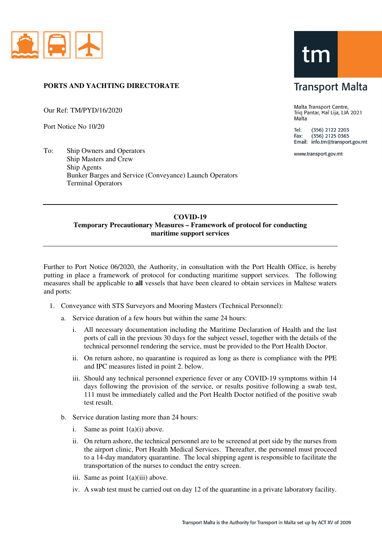

## **PORTS AND YACHTING DIRECTORATE**

Our Ref: TM/PYD/16/2020

Port Notice No 10/20

To: Ship Owners and Operators Ship Masters and Crew Ship Agents Bunker Barges and Service (Conveyance) Launch Operators Terminal Operators

## tm

## **Transport Malta**

Malta Transport Centre, Triq Pantar, Hal Lija, LJA 2021 Malta

Tel: (356) 2122 2203  $(356)$  2125 0365 Fax: Email: info.tm@transport.gov.mt

www.transport.gov.mt

## **COVID-19 Temporary Precautionary Measures – Framework of protocol for conducting maritime support services**

Further to Port Notice 06/2020, the Authority, in consultation with the Port Health Office, is hereby putting in place a framework of protocol for conducting maritime support services. The following measures shall be applicable to **all** vessels that have been cleared to obtain services in Maltese waters and ports:

- 1. Conveyance with STS Surveyors and Mooring Masters (Technical Personnel):
	- a. Service duration of a few hours but within the same 24 hours:
		- i. All necessary documentation including the Maritime Declaration of Health and the last ports of call in the previous 30 days for the subject vessel, together with the details of the technical personnel rendering the service, must be provided to the Port Health Doctor.
		- ii. On return ashore, no quarantine is required as long as there is compliance with the PPE and IPC measures listed in point 2. below.
		- iii. Should any technical personnel experience fever or any COVID-19 symptoms within 14 days following the provision of the service, or results positive following a swab test, 111 must be immediately called and the Port Health Doctor notified of the positive swab test result.
	- b. Service duration lasting more than 24 hours:
		- i. Same as point  $1(a)(i)$  above.
		- ii. On return ashore, the technical personnel are to be screened at port side by the nurses from the airport clinic, Port Health Medical Services. Thereafter, the personnel must proceed to a 14-day mandatory quarantine. The local shipping agent is responsible to facilitate the transportation of the nurses to conduct the entry screen.
		- iii. Same as point 1(a)(iii) above.
		- iv. A swab test must be carried out on day 12 of the quarantine in a private laboratory facility.